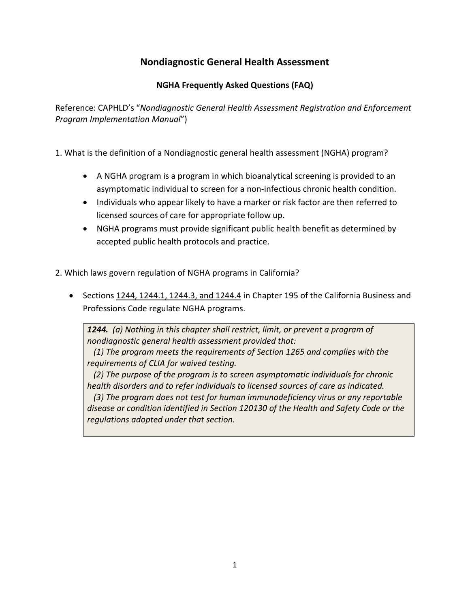## **Nondiagnostic General Health Assessment**

## **NGHA Frequently Asked Questions (FAQ)**

Reference: CAPHLD's "*Nondiagnostic General Health Assessment Registration and Enforcement Program Implementation Manual*")

1. What is the definition of a Nondiagnostic general health assessment (NGHA) program?

- A NGHA program is a program in which bioanalytical screening is provided to an asymptomatic individual to screen for a non-infectious chronic health condition.
- Individuals who appear likely to have a marker or risk factor are then referred to licensed sources of care for appropriate follow up.
- NGHA programs must provide significant public health benefit as determined by accepted public health protocols and practice.
- 2. Which laws govern regulation of NGHA programs in California?
	- Sections 1244, 1244.1, 1244.3, and 1244.4 in Chapter 195 of the California Business and Professions Code regulate NGHA programs.

*1244. (a) Nothing in this chapter shall restrict, limit, or prevent a program of nondiagnostic general health assessment provided that:*

 *(1) The program meets the requirements of Section 1265 and complies with the requirements of CLIA for waived testing.*

 *(2) The purpose of the program is to screen asymptomatic individuals for chronic health disorders and to refer individuals to licensed sources of care as indicated.*

 *(3) The program does not test for human immunodeficiency virus or any reportable disease or condition identified in Section 120130 of the Health and Safety Code or the regulations adopted under that section.*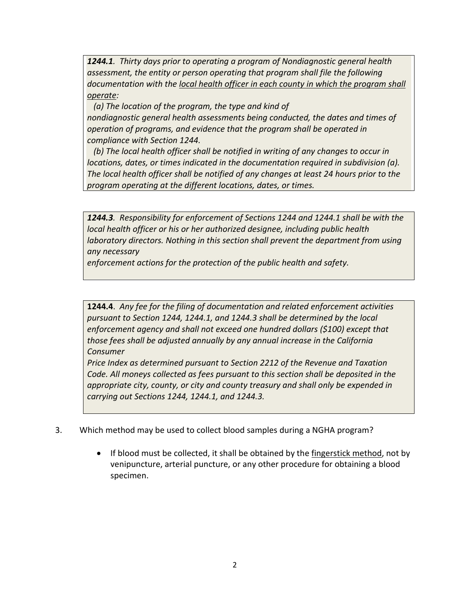*1244.1. Thirty days prior to operating a program of Nondiagnostic general health assessment, the entity or person operating that program shall file the following documentation with the local health officer in each county in which the program shall operate:*

 *(a) The location of the program, the type and kind of nondiagnostic general health assessments being conducted, the dates and times of operation of programs, and evidence that the program shall be operated in compliance with Section 1244.*

 *(b) The local health officer shall be notified in writing of any changes to occur in locations, dates, or times indicated in the documentation required in subdivision (a). The local health officer shall be notified of any changes at least 24 hours prior to the program operating at the different locations, dates, or times.*

*1244.3. Responsibility for enforcement of Sections 1244 and 1244.1 shall be with the local health officer or his or her authorized designee, including public health laboratory directors. Nothing in this section shall prevent the department from using any necessary*

*enforcement actions for the protection of the public health and safety.*

**1244.4**. *Any fee for the filing of documentation and related enforcement activities pursuant to Section 1244, 1244.1, and 1244.3 shall be determined by the local enforcement agency and shall not exceed one hundred dollars (\$100) except that those fees shall be adjusted annually by any annual increase in the California Consumer*

*Price Index as determined pursuant to Section 2212 of the Revenue and Taxation Code. All moneys collected as fees pursuant to this section shall be deposited in the appropriate city, county, or city and county treasury and shall only be expended in carrying out Sections 1244, 1244.1, and 1244.3.*

- 3. Which method may be used to collect blood samples during a NGHA program?
	- If blood must be collected, it shall be obtained by the fingerstick method, not by venipuncture, arterial puncture, or any other procedure for obtaining a blood specimen.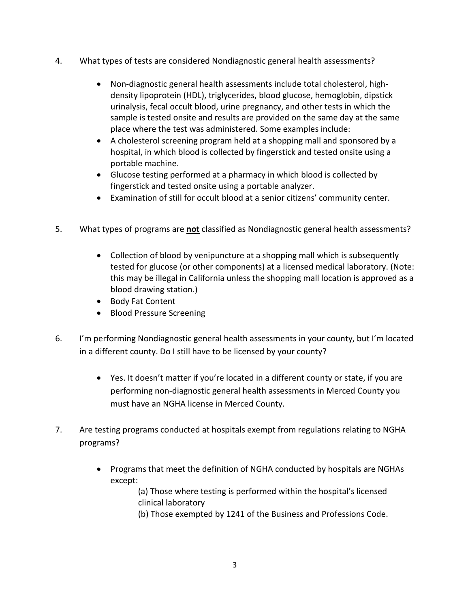- 4. What types of tests are considered Nondiagnostic general health assessments?
	- Non-diagnostic general health assessments include total cholesterol, highdensity lipoprotein (HDL), triglycerides, blood glucose, hemoglobin, dipstick urinalysis, fecal occult blood, urine pregnancy, and other tests in which the sample is tested onsite and results are provided on the same day at the same place where the test was administered. Some examples include:
	- A cholesterol screening program held at a shopping mall and sponsored by a hospital, in which blood is collected by fingerstick and tested onsite using a portable machine.
	- Glucose testing performed at a pharmacy in which blood is collected by fingerstick and tested onsite using a portable analyzer.
	- Examination of still for occult blood at a senior citizens' community center.
- 5. What types of programs are **not** classified as Nondiagnostic general health assessments?
	- Collection of blood by venipuncture at a shopping mall which is subsequently tested for glucose (or other components) at a licensed medical laboratory. (Note: this may be illegal in California unless the shopping mall location is approved as a blood drawing station.)
	- Body Fat Content
	- Blood Pressure Screening
- 6. I'm performing Nondiagnostic general health assessments in your county, but I'm located in a different county. Do I still have to be licensed by your county?
	- Yes. It doesn't matter if you're located in a different county or state, if you are performing non-diagnostic general health assessments in Merced County you must have an NGHA license in Merced County.
- 7. Are testing programs conducted at hospitals exempt from regulations relating to NGHA programs?
	- Programs that meet the definition of NGHA conducted by hospitals are NGHAs except:

(a) Those where testing is performed within the hospital's licensed clinical laboratory

(b) Those exempted by 1241 of the Business and Professions Code.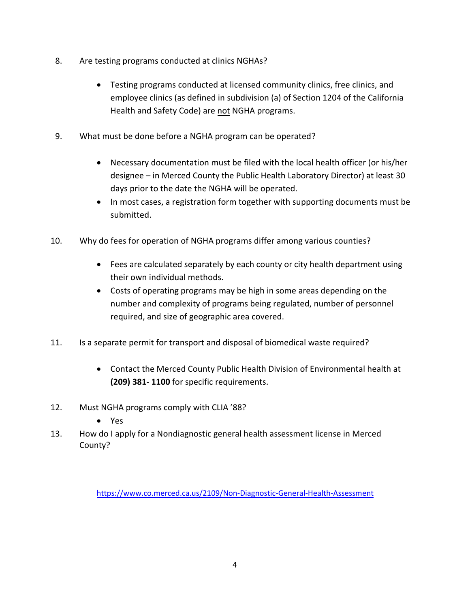- 8. Are testing programs conducted at clinics NGHAs?
	- Testing programs conducted at licensed community clinics, free clinics, and employee clinics (as defined in subdivision (a) of Section 1204 of the California Health and Safety Code) are not NGHA programs.
- 9. What must be done before a NGHA program can be operated?
	- Necessary documentation must be filed with the local health officer (or his/her designee – in Merced County the Public Health Laboratory Director) at least 30 days prior to the date the NGHA will be operated.
	- In most cases, a registration form together with supporting documents must be submitted.
- 10. Why do fees for operation of NGHA programs differ among various counties?
	- Fees are calculated separately by each county or city health department using their own individual methods.
	- Costs of operating programs may be high in some areas depending on the number and complexity of programs being regulated, number of personnel required, and size of geographic area covered.
- 11. Is a separate permit for transport and disposal of biomedical waste required?
	- Contact the Merced County Public Health Division of Environmental health at **(209) 381- 1100** for specific requirements.
- 12. Must NGHA programs comply with CLIA '88?
	- Yes
- 13. How do I apply for a Nondiagnostic general health assessment license in Merced County?

<https://www.co.merced.ca.us/2109/Non-Diagnostic-General-Health-Assessment>